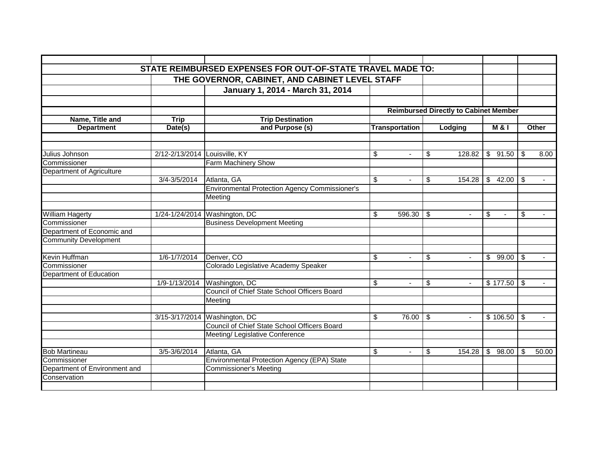|                               |                | STATE REIMBURSED EXPENSES FOR OUT-OF-STATE TRAVEL MADE TO: |                                        |                                              |                  |              |  |
|-------------------------------|----------------|------------------------------------------------------------|----------------------------------------|----------------------------------------------|------------------|--------------|--|
|                               |                | THE GOVERNOR, CABINET, AND CABINET LEVEL STAFF             |                                        |                                              |                  |              |  |
|                               |                | January 1, 2014 - March 31, 2014                           |                                        |                                              |                  |              |  |
|                               |                |                                                            |                                        |                                              |                  |              |  |
|                               |                |                                                            |                                        | <b>Reimbursed Directly to Cabinet Member</b> |                  |              |  |
| Name, Title and               | <b>Trip</b>    | <b>Trip Destination</b>                                    |                                        |                                              |                  |              |  |
| <b>Department</b>             | Date(s)        | and Purpose (s)                                            | <b>Transportation</b>                  | Lodging                                      | <b>M &amp; I</b> | Other        |  |
|                               |                |                                                            |                                        |                                              |                  |              |  |
| Julius Johnson                | 2/12-2/13/2014 | Louisville, KY                                             | \$<br>$\blacksquare$                   | \$<br>128.82                                 | \$91.50          | 8.00<br>-\$  |  |
| Commissioner                  |                | Farm Machinery Show                                        |                                        |                                              |                  |              |  |
| Department of Agriculture     |                |                                                            |                                        |                                              |                  |              |  |
|                               | 3/4-3/5/2014   | Atlanta, GA                                                | \$<br>$\blacksquare$                   | \$<br>154.28                                 | \$<br>42.00      | \$<br>$\sim$ |  |
|                               |                | <b>Environmental Protection Agency Commissioner's</b>      |                                        |                                              |                  |              |  |
|                               |                | Meeting                                                    |                                        |                                              |                  |              |  |
|                               |                |                                                            |                                        |                                              |                  |              |  |
| <b>William Hagerty</b>        |                | 1/24-1/24/2014 Washington, DC                              | \$<br>$596.30$ \$                      | $\blacksquare$                               | \$               | \$           |  |
| Commissioner                  |                | <b>Business Development Meeting</b>                        |                                        |                                              |                  |              |  |
| Department of Economic and    |                |                                                            |                                        |                                              |                  |              |  |
| <b>Community Development</b>  |                |                                                            |                                        |                                              |                  |              |  |
|                               |                |                                                            |                                        |                                              |                  |              |  |
| Kevin Huffman                 | 1/6-1/7/2014   | Denver, CO                                                 | \$                                     | \$<br>$\blacksquare$                         | 99.00<br>\$      | \$<br>$\sim$ |  |
| Commissioner                  |                | Colorado Legislative Academy Speaker                       |                                        |                                              |                  |              |  |
| Department of Education       |                |                                                            |                                        |                                              |                  |              |  |
|                               | 1/9-1/13/2014  | Washington, DC                                             | \$                                     | \$                                           | \$177.50         | \$           |  |
|                               |                | Council of Chief State School Officers Board               |                                        |                                              |                  |              |  |
|                               |                | Meeting                                                    |                                        |                                              |                  |              |  |
|                               |                |                                                            |                                        |                                              |                  |              |  |
|                               |                | 3/15-3/17/2014 Washington, DC                              | $\overline{\mathcal{S}}$<br>$76.00$ \$ | $\blacksquare$                               | \$106.50         | \$<br>$\sim$ |  |
|                               |                | Council of Chief State School Officers Board               |                                        |                                              |                  |              |  |
|                               |                | Meeting/ Legislative Conference                            |                                        |                                              |                  |              |  |
| <b>Bob Martineau</b>          | 3/5-3/6/2014   | Atlanta, GA                                                | \$                                     | \$<br>154.28                                 | 98.00<br>\$      | 50.00<br>\$  |  |
| Commissioner                  |                | Environmental Protection Agency (EPA) State                |                                        |                                              |                  |              |  |
| Department of Environment and |                | <b>Commissioner's Meeting</b>                              |                                        |                                              |                  |              |  |
| Conservation                  |                |                                                            |                                        |                                              |                  |              |  |
|                               |                |                                                            |                                        |                                              |                  |              |  |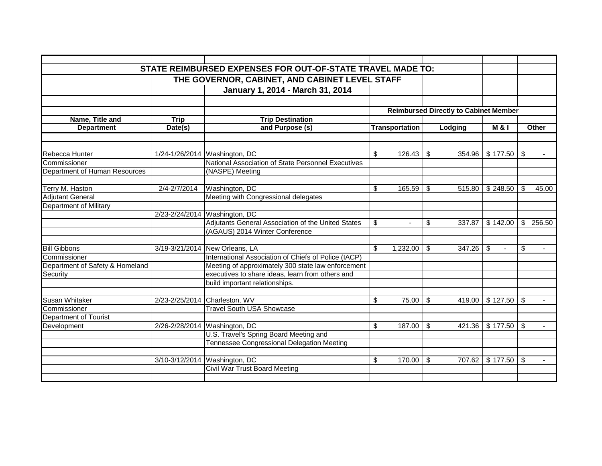|                                 |                | STATE REIMBURSED EXPENSES FOR OUT-OF-STATE TRAVEL MADE TO: |                                              |                       |    |         |                       |    |                |  |
|---------------------------------|----------------|------------------------------------------------------------|----------------------------------------------|-----------------------|----|---------|-----------------------|----|----------------|--|
|                                 |                | THE GOVERNOR, CABINET, AND CABINET LEVEL STAFF             |                                              |                       |    |         |                       |    |                |  |
|                                 |                | January 1, 2014 - March 31, 2014                           |                                              |                       |    |         |                       |    |                |  |
|                                 |                |                                                            |                                              |                       |    |         |                       |    |                |  |
|                                 |                |                                                            | <b>Reimbursed Directly to Cabinet Member</b> |                       |    |         |                       |    |                |  |
| Name, Title and                 | <b>Trip</b>    | <b>Trip Destination</b>                                    |                                              |                       |    |         |                       |    |                |  |
| <b>Department</b>               | Date(s)        | and Purpose (s)                                            |                                              | <b>Transportation</b> |    | Lodging | <b>M &amp; I</b>      |    | Other          |  |
|                                 |                |                                                            |                                              |                       |    |         |                       |    |                |  |
| Rebecca Hunter                  |                | 1/24-1/26/2014 Washington, DC                              | \$                                           | 126.43                | \$ |         | 354.96 \$177.50       | \$ |                |  |
| Commissioner                    |                | National Association of State Personnel Executives         |                                              |                       |    |         |                       |    |                |  |
| Department of Human Resources   |                | (NASPE) Meeting                                            |                                              |                       |    |         |                       |    |                |  |
| Terry M. Haston                 | 2/4-2/7/2014   | Washington, DC                                             | \$                                           | 165.59                | \$ | 515.80  | \$248.50              | \$ | 45.00          |  |
| <b>Adjutant General</b>         |                | Meeting with Congressional delegates                       |                                              |                       |    |         |                       |    |                |  |
| <b>Department of Military</b>   |                |                                                            |                                              |                       |    |         |                       |    |                |  |
|                                 |                | 2/23-2/24/2014 Washington, DC                              |                                              |                       |    |         |                       |    |                |  |
|                                 |                | Adjutants General Association of the United States         | \$                                           | $\blacksquare$        | \$ | 337.87  | \$142.00              |    | \$256.50       |  |
|                                 |                | (AGAUS) 2014 Winter Conference                             |                                              |                       |    |         |                       |    |                |  |
|                                 |                |                                                            |                                              |                       |    |         |                       |    |                |  |
| <b>Bill Gibbons</b>             |                | 3/19-3/21/2014 New Orleans, LA                             | \$                                           | 1,232.00              | \$ | 347.26  | -\$<br>$\blacksquare$ | \$ |                |  |
| Commissioner                    |                | International Association of Chiefs of Police (IACP)       |                                              |                       |    |         |                       |    |                |  |
| Department of Safety & Homeland |                | Meeting of approximately 300 state law enforcement         |                                              |                       |    |         |                       |    |                |  |
| Security                        |                | executives to share ideas, learn from others and           |                                              |                       |    |         |                       |    |                |  |
|                                 |                | build important relationships.                             |                                              |                       |    |         |                       |    |                |  |
| Susan Whitaker                  | 2/23-2/25/2014 | Charleston, WV                                             | \$                                           | 75.00                 | \$ | 419.00  | \$127.50              | \$ |                |  |
| Commissioner                    |                | <b>Travel South USA Showcase</b>                           |                                              |                       |    |         |                       |    |                |  |
| Department of Tourist           |                |                                                            |                                              |                       |    |         |                       |    |                |  |
| Development                     |                | 2/26-2/28/2014 Washington, DC                              | \$                                           | 187.00                | \$ | 421.36  | \$177.50              | \$ | $\blacksquare$ |  |
|                                 |                | U.S. Travel's Spring Board Meeting and                     |                                              |                       |    |         |                       |    |                |  |
|                                 |                | Tennessee Congressional Delegation Meeting                 |                                              |                       |    |         |                       |    |                |  |
|                                 |                |                                                            |                                              |                       |    |         |                       |    |                |  |
|                                 |                | 3/10-3/12/2014 Washington, DC                              | \$                                           | 170.00                | \$ | 707.62  | \$177.50              | \$ |                |  |
|                                 |                | <b>Civil War Trust Board Meeting</b>                       |                                              |                       |    |         |                       |    |                |  |
|                                 |                |                                                            |                                              |                       |    |         |                       |    |                |  |